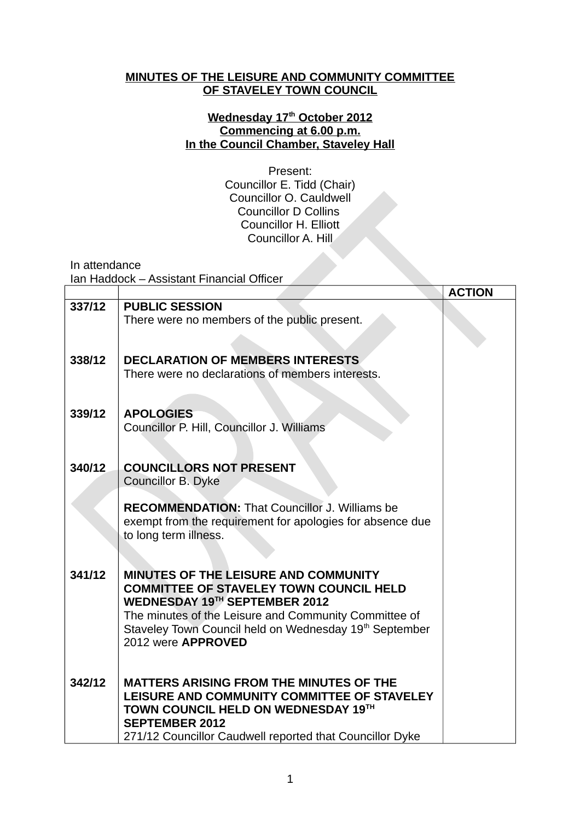## **MINUTES OF THE LEISURE AND COMMUNITY COMMITTEE OF STAVELEY TOWN COUNCIL**

## **Wednesday 17th October 2012 Commencing at 6.00 p.m. In the Council Chamber, Staveley Hall**

Present: Councillor E. Tidd (Chair) Councillor O. Cauldwell Councillor D Collins Councillor H. Elliott Councillor A. Hill

In attendance

Ian Haddock – Assistant Financial Officer

|        |                                                                                               | <b>ACTION</b> |
|--------|-----------------------------------------------------------------------------------------------|---------------|
| 337/12 | <b>PUBLIC SESSION</b>                                                                         |               |
|        | There were no members of the public present.                                                  |               |
|        |                                                                                               |               |
|        |                                                                                               |               |
| 338/12 | <b>DECLARATION OF MEMBERS INTERESTS</b>                                                       |               |
|        | There were no declarations of members interests.                                              |               |
|        |                                                                                               |               |
| 339/12 | <b>APOLOGIES</b>                                                                              |               |
|        | Councillor P. Hill, Councillor J. Williams                                                    |               |
|        |                                                                                               |               |
|        |                                                                                               |               |
| 340/12 | <b>COUNCILLORS NOT PRESENT</b>                                                                |               |
|        | Councillor B. Dyke                                                                            |               |
|        | <b>RECOMMENDATION: That Councillor J. Williams be</b>                                         |               |
|        | exempt from the requirement for apologies for absence due                                     |               |
|        | to long term illness.                                                                         |               |
|        |                                                                                               |               |
|        |                                                                                               |               |
| 341/12 | <b>MINUTES OF THE LEISURE AND COMMUNITY</b><br><b>COMMITTEE OF STAVELEY TOWN COUNCIL HELD</b> |               |
|        | WEDNESDAY 19TH SEPTEMBER 2012                                                                 |               |
|        | The minutes of the Leisure and Community Committee of                                         |               |
|        | Staveley Town Council held on Wednesday 19 <sup>th</sup> September                            |               |
|        | 2012 were APPROVED                                                                            |               |
|        |                                                                                               |               |
| 342/12 | <b>MATTERS ARISING FROM THE MINUTES OF THE</b>                                                |               |
|        | LEISURE AND COMMUNITY COMMITTEE OF STAVELEY                                                   |               |
|        | TOWN COUNCIL HELD ON WEDNESDAY 19TH                                                           |               |
|        | <b>SEPTEMBER 2012</b>                                                                         |               |
|        | 271/12 Councillor Caudwell reported that Councillor Dyke                                      |               |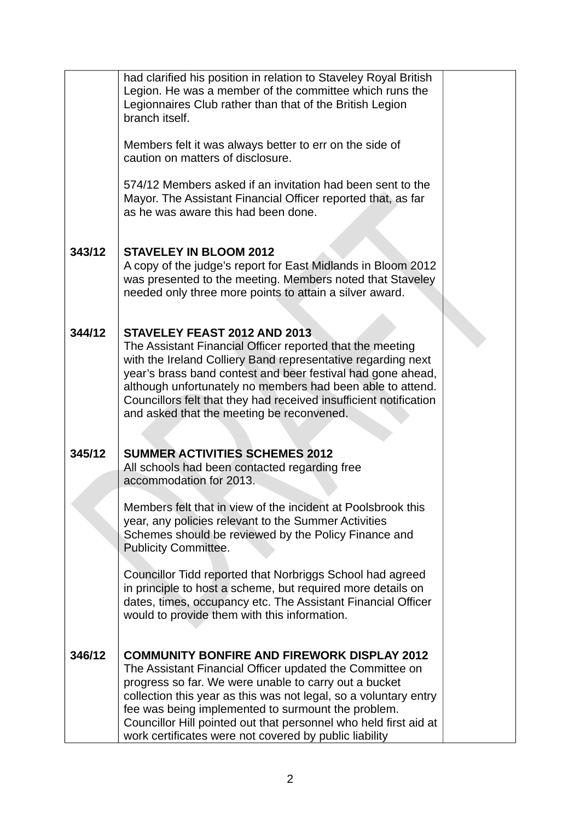|        | had clarified his position in relation to Staveley Royal British<br>Legion. He was a member of the committee which runs the<br>Legionnaires Club rather than that of the British Legion<br>branch itself.                                                                                                                                                                                                                       |  |
|--------|---------------------------------------------------------------------------------------------------------------------------------------------------------------------------------------------------------------------------------------------------------------------------------------------------------------------------------------------------------------------------------------------------------------------------------|--|
|        | Members felt it was always better to err on the side of<br>caution on matters of disclosure.                                                                                                                                                                                                                                                                                                                                    |  |
|        | 574/12 Members asked if an invitation had been sent to the<br>Mayor. The Assistant Financial Officer reported that, as far<br>as he was aware this had been done.                                                                                                                                                                                                                                                               |  |
| 343/12 | <b>STAVELEY IN BLOOM 2012</b><br>A copy of the judge's report for East Midlands in Bloom 2012<br>was presented to the meeting. Members noted that Staveley<br>needed only three more points to attain a silver award.                                                                                                                                                                                                           |  |
| 344/12 | STAVELEY FEAST 2012 AND 2013<br>The Assistant Financial Officer reported that the meeting<br>with the Ireland Colliery Band representative regarding next<br>year's brass band contest and beer festival had gone ahead,<br>although unfortunately no members had been able to attend.<br>Councillors felt that they had received insufficient notification<br>and asked that the meeting be reconvened.                        |  |
| 345/12 | <b>SUMMER ACTIVITIES SCHEMES 2012</b><br>All schools had been contacted regarding free<br>accommodation for 2013.                                                                                                                                                                                                                                                                                                               |  |
|        | Members felt that in view of the incident at Poolsbrook this<br>year, any policies relevant to the Summer Activities<br>Schemes should be reviewed by the Policy Finance and<br><b>Publicity Committee.</b>                                                                                                                                                                                                                     |  |
|        | Councillor Tidd reported that Norbriggs School had agreed<br>in principle to host a scheme, but required more details on<br>dates, times, occupancy etc. The Assistant Financial Officer<br>would to provide them with this information.                                                                                                                                                                                        |  |
| 346/12 | <b>COMMUNITY BONFIRE AND FIREWORK DISPLAY 2012</b><br>The Assistant Financial Officer updated the Committee on<br>progress so far. We were unable to carry out a bucket<br>collection this year as this was not legal, so a voluntary entry<br>fee was being implemented to surmount the problem.<br>Councillor Hill pointed out that personnel who held first aid at<br>work certificates were not covered by public liability |  |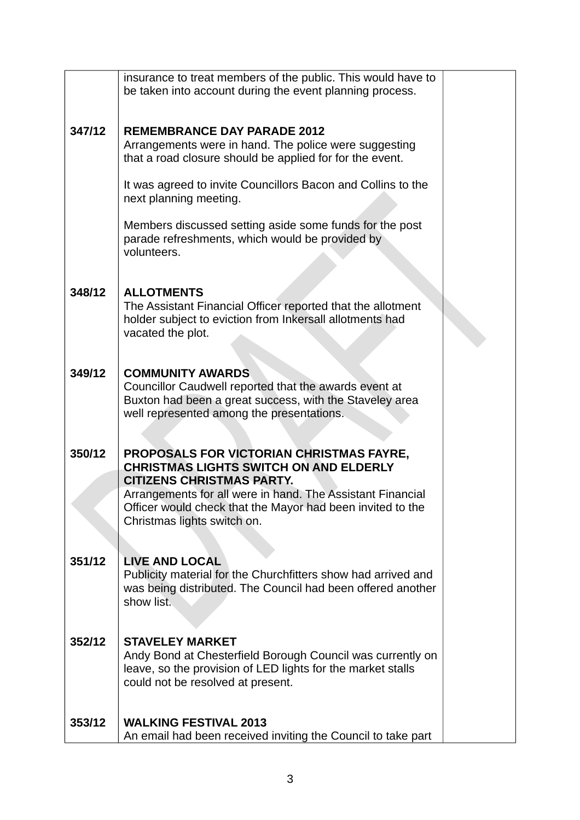|        | insurance to treat members of the public. This would have to<br>be taken into account during the event planning process.                                                                    |  |
|--------|---------------------------------------------------------------------------------------------------------------------------------------------------------------------------------------------|--|
|        |                                                                                                                                                                                             |  |
| 347/12 | <b>REMEMBRANCE DAY PARADE 2012</b><br>Arrangements were in hand. The police were suggesting<br>that a road closure should be applied for for the event.                                     |  |
|        | It was agreed to invite Councillors Bacon and Collins to the<br>next planning meeting.                                                                                                      |  |
|        | Members discussed setting aside some funds for the post<br>parade refreshments, which would be provided by<br>volunteers.                                                                   |  |
| 348/12 | <b>ALLOTMENTS</b><br>The Assistant Financial Officer reported that the allotment<br>holder subject to eviction from Inkersall allotments had<br>vacated the plot.                           |  |
| 349/12 | <b>COMMUNITY AWARDS</b><br>Councillor Caudwell reported that the awards event at<br>Buxton had been a great success, with the Staveley area<br>well represented among the presentations.    |  |
| 350/12 | PROPOSALS FOR VICTORIAN CHRISTMAS FAYRE,<br><b>CHRISTMAS LIGHTS SWITCH ON AND ELDERLY</b>                                                                                                   |  |
|        | <b>CITIZENS CHRISTMAS PARTY.</b><br>Arrangements for all were in hand. The Assistant Financial<br>Officer would check that the Mayor had been invited to the<br>Christmas lights switch on. |  |
|        |                                                                                                                                                                                             |  |
| 351/12 | <b>LIVE AND LOCAL</b><br>Publicity material for the Churchfitters show had arrived and<br>was being distributed. The Council had been offered another<br>show list.                         |  |
| 352/12 | <b>STAVELEY MARKET</b><br>Andy Bond at Chesterfield Borough Council was currently on<br>leave, so the provision of LED lights for the market stalls<br>could not be resolved at present.    |  |
| 353/12 | <b>WALKING FESTIVAL 2013</b><br>An email had been received inviting the Council to take part                                                                                                |  |